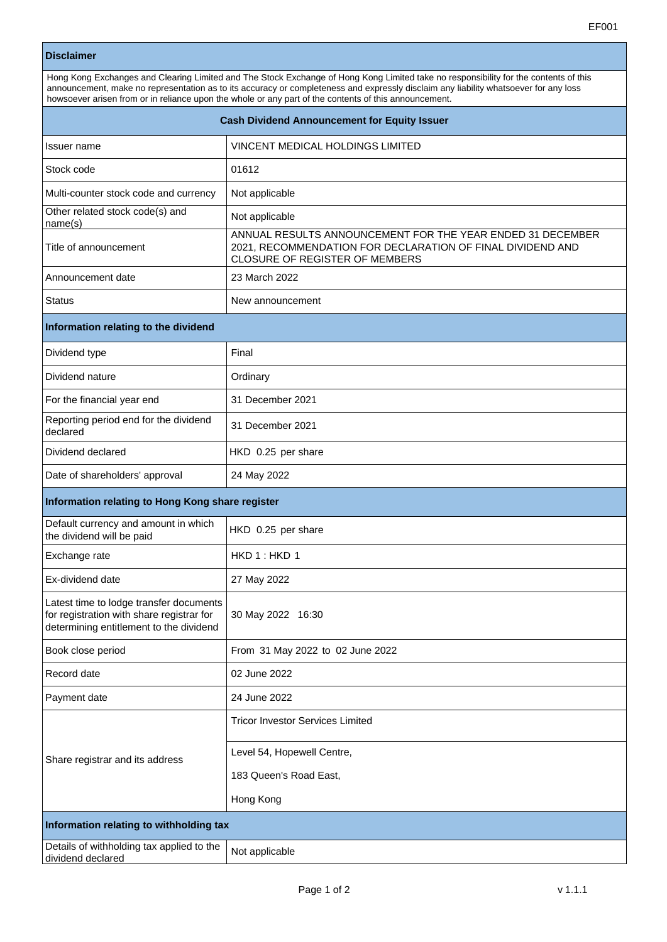| <b>Cash Dividend Announcement for Equity Issuer</b>                                                                             |                                                                                                                                                            |
|---------------------------------------------------------------------------------------------------------------------------------|------------------------------------------------------------------------------------------------------------------------------------------------------------|
| Issuer name                                                                                                                     | VINCENT MEDICAL HOLDINGS LIMITED                                                                                                                           |
| Stock code                                                                                                                      | 01612                                                                                                                                                      |
| Multi-counter stock code and currency                                                                                           | Not applicable                                                                                                                                             |
| Other related stock code(s) and<br>name(s)                                                                                      | Not applicable                                                                                                                                             |
| Title of announcement                                                                                                           | ANNUAL RESULTS ANNOUNCEMENT FOR THE YEAR ENDED 31 DECEMBER<br>2021, RECOMMENDATION FOR DECLARATION OF FINAL DIVIDEND AND<br>CLOSURE OF REGISTER OF MEMBERS |
| Announcement date                                                                                                               | 23 March 2022                                                                                                                                              |
| <b>Status</b>                                                                                                                   | New announcement                                                                                                                                           |
| Information relating to the dividend                                                                                            |                                                                                                                                                            |
| Dividend type                                                                                                                   | Final                                                                                                                                                      |
| Dividend nature                                                                                                                 | Ordinary                                                                                                                                                   |
| For the financial year end                                                                                                      | 31 December 2021                                                                                                                                           |
| Reporting period end for the dividend<br>declared                                                                               | 31 December 2021                                                                                                                                           |
| Dividend declared                                                                                                               | HKD 0.25 per share                                                                                                                                         |
| Date of shareholders' approval                                                                                                  | 24 May 2022                                                                                                                                                |
| Information relating to Hong Kong share register                                                                                |                                                                                                                                                            |
| Default currency and amount in which<br>the dividend will be paid                                                               | HKD 0.25 per share                                                                                                                                         |
| Exchange rate                                                                                                                   | HKD 1: HKD 1                                                                                                                                               |
| Ex-dividend date                                                                                                                | 27 May 2022                                                                                                                                                |
| Latest time to lodge transfer documents<br>for registration with share registrar for<br>determining entitlement to the dividend | 30 May 2022 16:30                                                                                                                                          |
| Book close period                                                                                                               | From 31 May 2022 to 02 June 2022                                                                                                                           |
| Record date                                                                                                                     | 02 June 2022                                                                                                                                               |
| Payment date                                                                                                                    | 24 June 2022                                                                                                                                               |
| Share registrar and its address                                                                                                 | <b>Tricor Investor Services Limited</b>                                                                                                                    |
|                                                                                                                                 | Level 54, Hopewell Centre,                                                                                                                                 |
|                                                                                                                                 | 183 Queen's Road East,                                                                                                                                     |
|                                                                                                                                 | Hong Kong                                                                                                                                                  |
| Information relating to withholding tax                                                                                         |                                                                                                                                                            |
| Details of withholding tax applied to the<br>dividend declared                                                                  | Not applicable                                                                                                                                             |